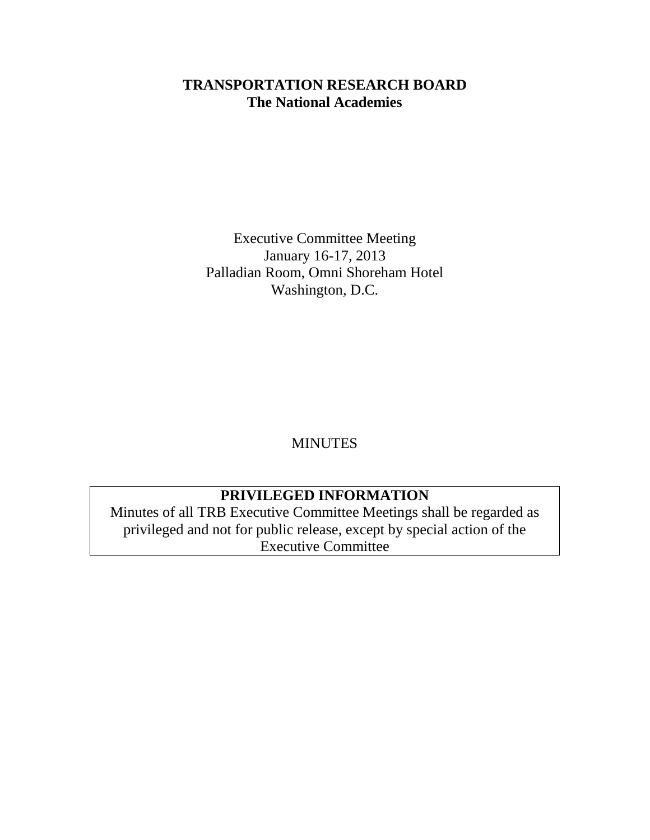# **TRANSPORTATION RESEARCH BOARD The National Academies**

Executive Committee Meeting January 16-17, 2013 Palladian Room, Omni Shoreham Hotel Washington, D.C.

# **MINUTES**

# **PRIVILEGED INFORMATION**

Minutes of all TRB Executive Committee Meetings shall be regarded as privileged and not for public release, except by special action of the Executive Committee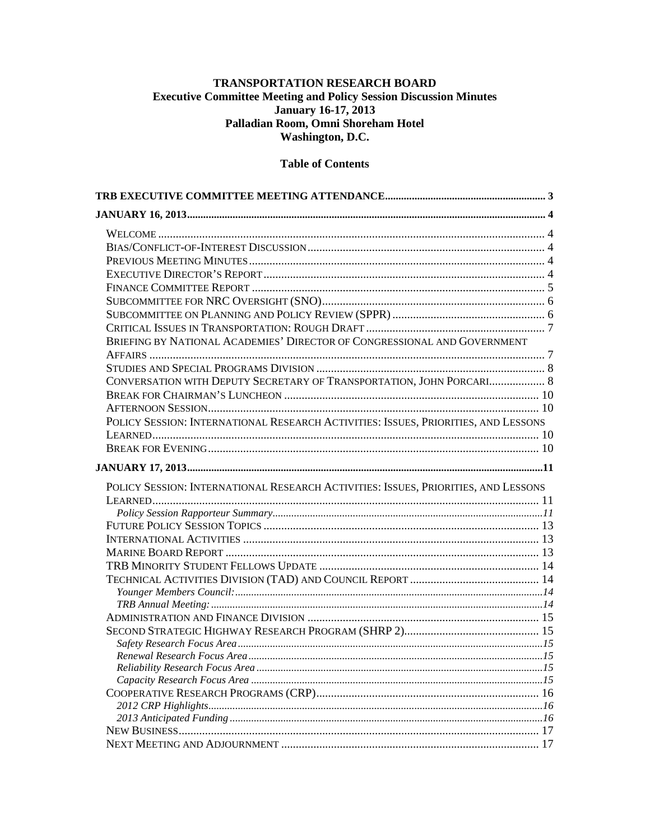# TRANSPORTATION RESEARCH BOARD Executive Committee Meeting and Policy Session Discussion Minutes<br>January 16-17, 2013 Palladian Room, Omni Shoreham Hotel Washington, D.C.

#### **Table of Contents**

| BRIEFING BY NATIONAL ACADEMIES' DIRECTOR OF CONGRESSIONAL AND GOVERNMENT           |  |
|------------------------------------------------------------------------------------|--|
|                                                                                    |  |
|                                                                                    |  |
| CONVERSATION WITH DEPUTY SECRETARY OF TRANSPORTATION, JOHN PORCARI 8               |  |
|                                                                                    |  |
|                                                                                    |  |
| POLICY SESSION: INTERNATIONAL RESEARCH ACTIVITIES: ISSUES, PRIORITIES, AND LESSONS |  |
|                                                                                    |  |
|                                                                                    |  |
|                                                                                    |  |
| POLICY SESSION: INTERNATIONAL RESEARCH ACTIVITIES: ISSUES, PRIORITIES, AND LESSONS |  |
|                                                                                    |  |
|                                                                                    |  |
|                                                                                    |  |
|                                                                                    |  |
|                                                                                    |  |
|                                                                                    |  |
|                                                                                    |  |
|                                                                                    |  |
|                                                                                    |  |
|                                                                                    |  |
|                                                                                    |  |
|                                                                                    |  |
|                                                                                    |  |
|                                                                                    |  |
|                                                                                    |  |
|                                                                                    |  |
|                                                                                    |  |
|                                                                                    |  |
|                                                                                    |  |
|                                                                                    |  |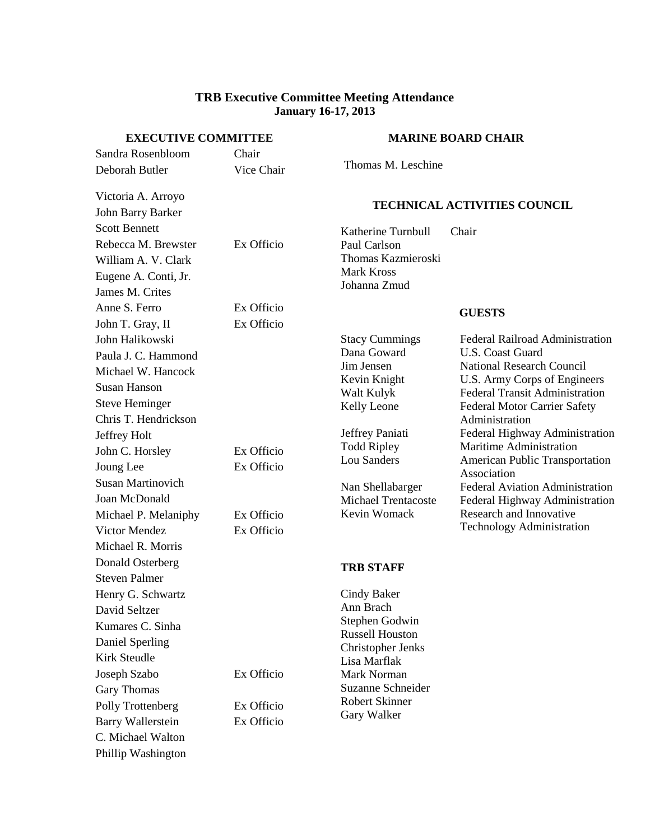#### **TRB Executive Committee Meeting Attendance January 16-17, 2013**

#### <span id="page-2-0"></span>**EXECUTIVE COMMITTEE**

Sandra Rosenbloom Chair Deborah Butler Vice Chair

Victoria A. Arroyo

**MARINE BOARD CHAIR**

Thomas M. Leschine

# **TECHNICAL ACTIVITIES COUNCIL**

| John Barry Barker                                                                                                                                                                                                                                                          |                                                      | TECHNICAL ACTIVITIES COU                                                                                                                                                                                                  |                                                                                                                                                                                                                                                                                                              |  |
|----------------------------------------------------------------------------------------------------------------------------------------------------------------------------------------------------------------------------------------------------------------------------|------------------------------------------------------|---------------------------------------------------------------------------------------------------------------------------------------------------------------------------------------------------------------------------|--------------------------------------------------------------------------------------------------------------------------------------------------------------------------------------------------------------------------------------------------------------------------------------------------------------|--|
| <b>Scott Bennett</b><br>Rebecca M. Brewster<br>William A. V. Clark<br>Eugene A. Conti, Jr.<br>James M. Crites                                                                                                                                                              | Ex Officio                                           | Katherine Turnbull<br>Paul Carlson<br>Thomas Kazmieroski<br><b>Mark Kross</b><br>Johanna Zmud                                                                                                                             | Chair                                                                                                                                                                                                                                                                                                        |  |
| Anne S. Ferro                                                                                                                                                                                                                                                              | Ex Officio                                           |                                                                                                                                                                                                                           | <b>GUESTS</b>                                                                                                                                                                                                                                                                                                |  |
| John T. Gray, II                                                                                                                                                                                                                                                           | Ex Officio                                           |                                                                                                                                                                                                                           |                                                                                                                                                                                                                                                                                                              |  |
| John Halikowski<br>Paula J. C. Hammond<br>Michael W. Hancock<br><b>Susan Hanson</b><br><b>Steve Heminger</b><br>Chris T. Hendrickson<br>Jeffrey Holt<br>John C. Horsley<br>Joung Lee<br><b>Susan Martinovich</b><br>Joan McDonald<br>Michael P. Melaniphy<br>Victor Mendez | Ex Officio<br>Ex Officio<br>Ex Officio<br>Ex Officio | <b>Stacy Cummings</b><br>Dana Goward<br>Jim Jensen<br>Kevin Knight<br>Walt Kulyk<br>Kelly Leone<br>Jeffrey Paniati<br><b>Todd Ripley</b><br>Lou Sanders<br>Nan Shellabarger<br><b>Michael Trentacoste</b><br>Kevin Womack | Federal Railroad.<br>U.S. Coast Guard<br><b>National Research</b><br>U.S. Army Corps<br>Federal Transit A<br>Federal Motor Ca<br>Administration<br>Federal Highway<br>Maritime Admini<br>American Public<br>Association<br>Federal Aviation<br>Federal Highway<br>Research and Inno<br><b>Technology Adm</b> |  |
| Michael R. Morris<br>Donald Osterberg                                                                                                                                                                                                                                      |                                                      | <b>TRB STAFF</b>                                                                                                                                                                                                          |                                                                                                                                                                                                                                                                                                              |  |
| <b>Steven Palmer</b>                                                                                                                                                                                                                                                       |                                                      |                                                                                                                                                                                                                           |                                                                                                                                                                                                                                                                                                              |  |
| Henry G. Schwartz<br>David Seltzer<br>Kumares C. Sinha<br>Daniel Sperling<br>Kirk Steudle<br>Joseph Szabo<br>Gary Thomas<br>Polly Trottenberg<br><b>Barry Wallerstein</b>                                                                                                  | Ex Officio<br>Ex Officio<br>Ex Officio               | Cindy Baker<br>Ann Brach<br>Stephen Godwin<br><b>Russell Houston</b><br><b>Christopher Jenks</b><br>Lisa Marflak<br>Mark Norman<br><b>Suzanne Schneider</b><br><b>Robert Skinner</b><br>Gary Walker                       |                                                                                                                                                                                                                                                                                                              |  |
| C. Michael Walton<br>Phillip Washington                                                                                                                                                                                                                                    |                                                      |                                                                                                                                                                                                                           |                                                                                                                                                                                                                                                                                                              |  |

ad Administration<br><sub>lard</sub> arch Council rps of Engineers it Administration Carrier Safety Administration vay Administration ninistration lic Transportation on Administration ay Administration Innovative dministration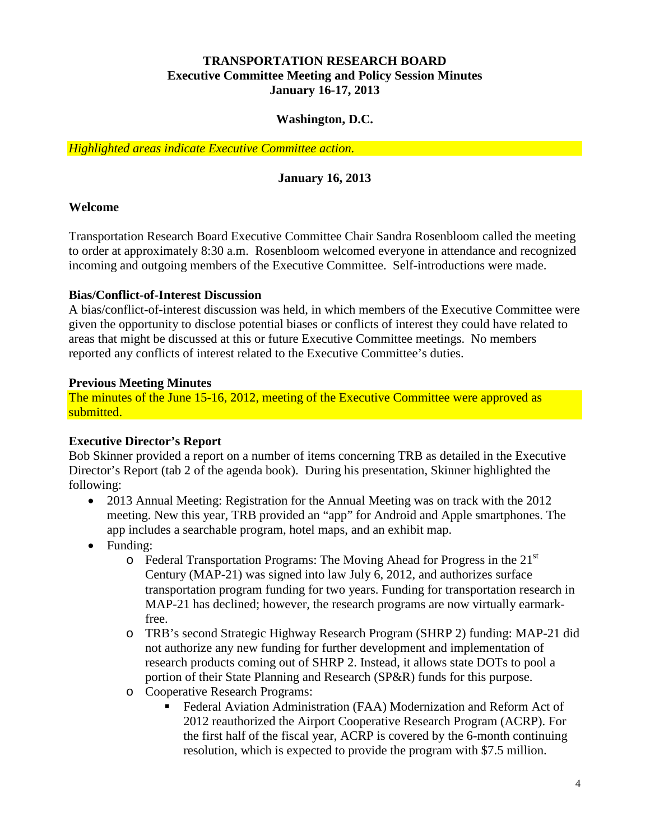# **TRANSPORTATION RESEARCH BOARD Executive Committee Meeting and Policy Session Minutes January 16-17, 2013**

# **Washington, D.C.**

<span id="page-3-0"></span>*Highlighted areas indicate Executive Committee action.*

# **January 16, 2013**

#### <span id="page-3-1"></span>**Welcome**

Transportation Research Board Executive Committee Chair Sandra Rosenbloom called the meeting to order at approximately 8:30 a.m. Rosenbloom welcomed everyone in attendance and recognized incoming and outgoing members of the Executive Committee. Self-introductions were made.

#### <span id="page-3-2"></span>**Bias/Conflict-of-Interest Discussion**

A bias/conflict-of-interest discussion was held, in which members of the Executive Committee were given the opportunity to disclose potential biases or conflicts of interest they could have related to areas that might be discussed at this or future Executive Committee meetings. No members reported any conflicts of interest related to the Executive Committee's duties.

#### <span id="page-3-3"></span>**Previous Meeting Minutes**

The minutes of the June 15-16, 2012, meeting of the Executive Committee were approved as submitted.

#### <span id="page-3-4"></span>**Executive Director's Report**

Bob Skinner provided a report on a number of items concerning TRB as detailed in the Executive Director's Report (tab 2 of the agenda book). During his presentation, Skinner highlighted the following:

- 2013 Annual Meeting: Registration for the Annual Meeting was on track with the 2012 meeting. New this year, TRB provided an "app" for Android and Apple smartphones. The app includes a searchable program, hotel maps, and an exhibit map.
- Funding:
	- $\circ$  Federal Transportation Programs: The Moving Ahead for Progress in the 21<sup>st</sup> Century (MAP-21) was signed into law July 6, 2012, and authorizes surface transportation program funding for two years. Funding for transportation research in MAP-21 has declined; however, the research programs are now virtually earmarkfree.
	- o TRB's second Strategic Highway Research Program (SHRP 2) funding: MAP-21 did not authorize any new funding for further development and implementation of research products coming out of SHRP 2. Instead, it allows state DOTs to pool a portion of their State Planning and Research (SP&R) funds for this purpose.
	- o Cooperative Research Programs:
		- Federal Aviation Administration (FAA) Modernization and Reform Act of 2012 reauthorized the Airport Cooperative Research Program (ACRP). For the first half of the fiscal year, ACRP is covered by the 6-month continuing resolution, which is expected to provide the program with \$7.5 million.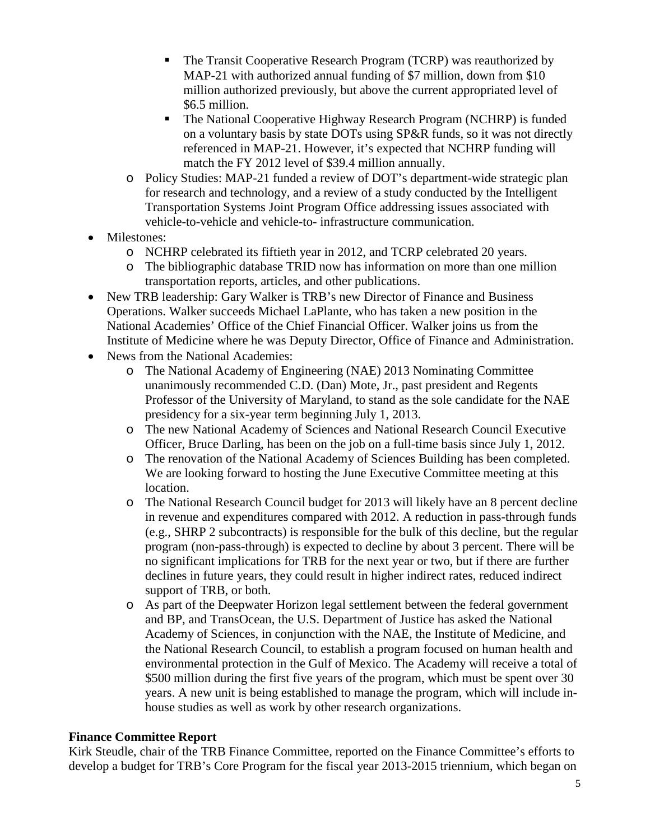- The Transit Cooperative Research Program (TCRP) was reauthorized by MAP-21 with authorized annual funding of \$7 million, down from \$10 million authorized previously, but above the current appropriated level of \$6.5 million.
- The National Cooperative Highway Research Program (NCHRP) is funded on a voluntary basis by state DOTs using SP&R funds, so it was not directly referenced in MAP-21. However, it's expected that NCHRP funding will match the FY 2012 level of \$39.4 million annually.
- o Policy Studies: MAP-21 funded a review of DOT's department-wide strategic plan for research and technology, and a review of a study conducted by the Intelligent Transportation Systems Joint Program Office addressing issues associated with vehicle-to-vehicle and vehicle-to- infrastructure communication.
- Milestones:
	- o NCHRP celebrated its fiftieth year in 2012, and TCRP celebrated 20 years.
	- o The bibliographic database TRID now has information on more than one million transportation reports, articles, and other publications.
- New TRB leadership: Gary Walker is TRB's new Director of Finance and Business Operations. Walker succeeds Michael LaPlante, who has taken a new position in the National Academies' Office of the Chief Financial Officer. Walker joins us from the Institute of Medicine where he was Deputy Director, Office of Finance and Administration.
- News from the National Academies:
	- o The National Academy of Engineering (NAE) 2013 Nominating Committee unanimously recommended C.D. (Dan) Mote, Jr., past president and Regents Professor of the University of Maryland, to stand as the sole candidate for the NAE presidency for a six-year term beginning July 1, 2013.
	- o The new National Academy of Sciences and National Research Council Executive Officer, Bruce Darling, has been on the job on a full-time basis since July 1, 2012.
	- o The renovation of the National Academy of Sciences Building has been completed. We are looking forward to hosting the June Executive Committee meeting at this location.
	- o The National Research Council budget for 2013 will likely have an 8 percent decline in revenue and expenditures compared with 2012. A reduction in pass-through funds (e.g., SHRP 2 subcontracts) is responsible for the bulk of this decline, but the regular program (non-pass-through) is expected to decline by about 3 percent. There will be no significant implications for TRB for the next year or two, but if there are further declines in future years, they could result in higher indirect rates, reduced indirect support of TRB, or both.
	- o As part of the Deepwater Horizon legal settlement between the federal government and BP, and TransOcean, the U.S. Department of Justice has asked the National Academy of Sciences, in conjunction with the NAE, the Institute of Medicine, and the National Research Council, to establish a program focused on human health and environmental protection in the Gulf of Mexico. The Academy will receive a total of \$500 million during the first five years of the program, which must be spent over 30 years. A new unit is being established to manage the program, which will include inhouse studies as well as work by other research organizations.

# <span id="page-4-0"></span>**Finance Committee Report**

Kirk Steudle, chair of the TRB Finance Committee, reported on the Finance Committee's efforts to develop a budget for TRB's Core Program for the fiscal year 2013-2015 triennium, which began on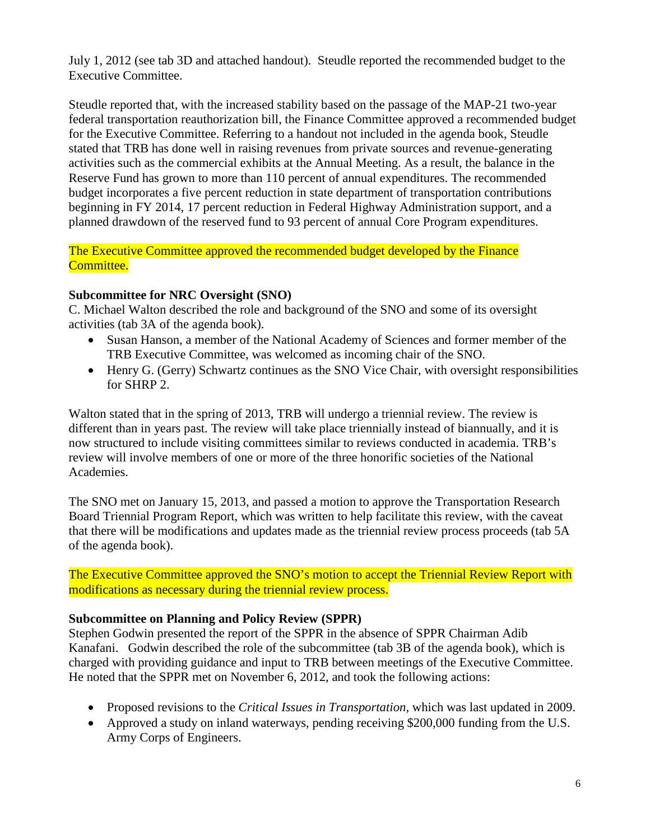July 1, 2012 (see tab 3D and attached handout). Steudle reported the recommended budget to the Executive Committee.

Steudle reported that, with the increased stability based on the passage of the MAP-21 two-year federal transportation reauthorization bill, the Finance Committee approved a recommended budget for the Executive Committee. Referring to a handout not included in the agenda book, Steudle stated that TRB has done well in raising revenues from private sources and revenue-generating activities such as the commercial exhibits at the Annual Meeting. As a result, the balance in the Reserve Fund has grown to more than 110 percent of annual expenditures. The recommended budget incorporates a five percent reduction in state department of transportation contributions beginning in FY 2014, 17 percent reduction in Federal Highway Administration support, and a planned drawdown of the reserved fund to 93 percent of annual Core Program expenditures.

The Executive Committee approved the recommended budget developed by the Finance Committee.

# <span id="page-5-0"></span>**Subcommittee for NRC Oversight (SNO)**

C. Michael Walton described the role and background of the SNO and some of its oversight activities (tab 3A of the agenda book).

- Susan Hanson, a member of the National Academy of Sciences and former member of the TRB Executive Committee, was welcomed as incoming chair of the SNO.
- Henry G. (Gerry) Schwartz continues as the SNO Vice Chair, with oversight responsibilities for SHRP 2.

Walton stated that in the spring of 2013, TRB will undergo a triennial review. The review is different than in years past. The review will take place triennially instead of biannually, and it is now structured to include visiting committees similar to reviews conducted in academia. TRB's review will involve members of one or more of the three honorific societies of the National Academies.

The SNO met on January 15, 2013, and passed a motion to approve the Transportation Research Board Triennial Program Report, which was written to help facilitate this review, with the caveat that there will be modifications and updates made as the triennial review process proceeds (tab 5A of the agenda book).

The Executive Committee approved the SNO's motion to accept the Triennial Review Report with modifications as necessary during the triennial review process.

# <span id="page-5-1"></span>**Subcommittee on Planning and Policy Review (SPPR)**

Stephen Godwin presented the report of the SPPR in the absence of SPPR Chairman Adib Kanafani. Godwin described the role of the subcommittee (tab 3B of the agenda book), which is charged with providing guidance and input to TRB between meetings of the Executive Committee. He noted that the SPPR met on November 6, 2012, and took the following actions:

- Proposed revisions to the *Critical Issues in Transportation,* which was last updated in 2009.
- Approved a study on inland waterways, pending receiving \$200,000 funding from the U.S. Army Corps of Engineers.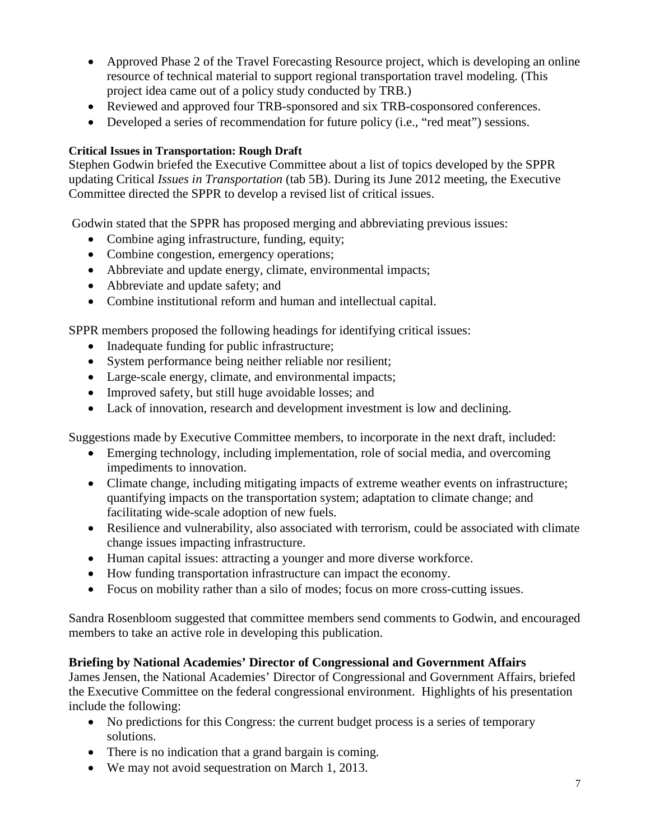- Approved Phase 2 of the Travel Forecasting Resource project, which is developing an online resource of technical material to support regional transportation travel modeling. (This project idea came out of a policy study conducted by TRB.)
- Reviewed and approved four TRB-sponsored and six TRB-cosponsored conferences.
- Developed a series of recommendation for future policy (i.e., "red meat") sessions.

# <span id="page-6-0"></span>**Critical Issues in Transportation: Rough Draft**

Stephen Godwin briefed the Executive Committee about a list of topics developed by the SPPR updating Critical *Issues in Transportation* (tab 5B). During its June 2012 meeting, the Executive Committee directed the SPPR to develop a revised list of critical issues.

Godwin stated that the SPPR has proposed merging and abbreviating previous issues:

- Combine aging infrastructure, funding, equity;
- Combine congestion, emergency operations;
- Abbreviate and update energy, climate, environmental impacts;
- Abbreviate and update safety; and
- Combine institutional reform and human and intellectual capital.

SPPR members proposed the following headings for identifying critical issues:

- Inadequate funding for public infrastructure;
- System performance being neither reliable nor resilient;
- Large-scale energy, climate, and environmental impacts;
- Improved safety, but still huge avoidable losses; and
- Lack of innovation, research and development investment is low and declining.

Suggestions made by Executive Committee members, to incorporate in the next draft, included:

- Emerging technology, including implementation, role of social media, and overcoming impediments to innovation.
- Climate change, including mitigating impacts of extreme weather events on infrastructure; quantifying impacts on the transportation system; adaptation to climate change; and facilitating wide-scale adoption of new fuels.
- Resilience and vulnerability, also associated with terrorism, could be associated with climate change issues impacting infrastructure.
- Human capital issues: attracting a younger and more diverse workforce.
- How funding transportation infrastructure can impact the economy.
- Focus on mobility rather than a silo of modes; focus on more cross-cutting issues.

Sandra Rosenbloom suggested that committee members send comments to Godwin, and encouraged members to take an active role in developing this publication.

# <span id="page-6-1"></span>**Briefing by National Academies' Director of Congressional and Government Affairs**

James Jensen, the National Academies' Director of Congressional and Government Affairs, briefed the Executive Committee on the federal congressional environment. Highlights of his presentation include the following:

- No predictions for this Congress: the current budget process is a series of temporary solutions.
- There is no indication that a grand bargain is coming.
- We may not avoid sequestration on March 1, 2013.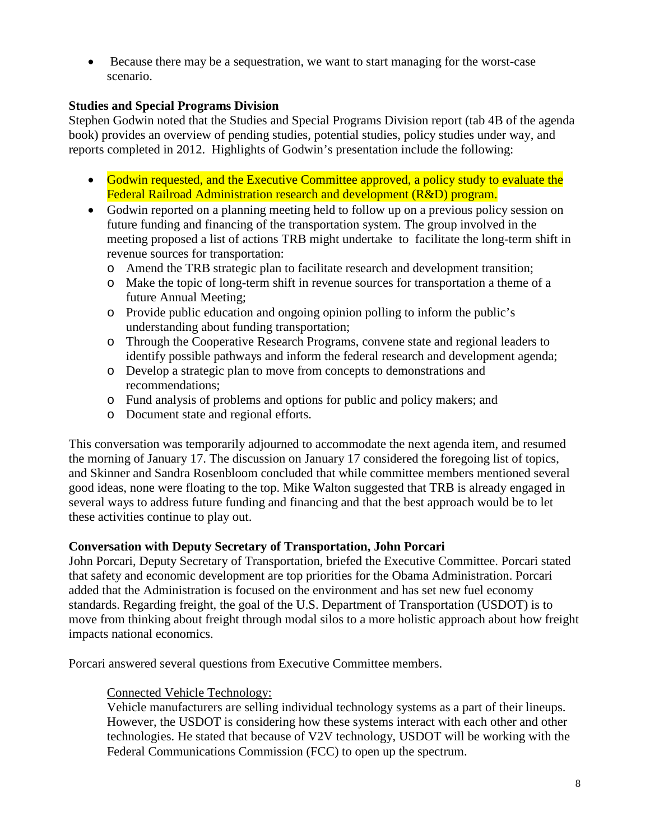• Because there may be a sequestration, we want to start managing for the worst-case scenario.

# <span id="page-7-0"></span>**Studies and Special Programs Division**

Stephen Godwin noted that the Studies and Special Programs Division report (tab 4B of the agenda book) provides an overview of pending studies, potential studies, policy studies under way, and reports completed in 2012. Highlights of Godwin's presentation include the following:

- Godwin requested, and the Executive Committee approved, a policy study to evaluate the Federal Railroad Administration research and development (R&D) program.
- Godwin reported on a planning meeting held to follow up on a previous policy session on future funding and financing of the transportation system. The group involved in the meeting proposed a list of actions TRB might undertake to facilitate the long-term shift in revenue sources for transportation:
	- o Amend the TRB strategic plan to facilitate research and development transition;
	- o Make the topic of long-term shift in revenue sources for transportation a theme of a future Annual Meeting;
	- o Provide public education and ongoing opinion polling to inform the public's understanding about funding transportation;
	- o Through the Cooperative Research Programs, convene state and regional leaders to identify possible pathways and inform the federal research and development agenda;
	- o Develop a strategic plan to move from concepts to demonstrations and recommendations;
	- o Fund analysis of problems and options for public and policy makers; and
	- o Document state and regional efforts.

This conversation was temporarily adjourned to accommodate the next agenda item, and resumed the morning of January 17. The discussion on January 17 considered the foregoing list of topics, and Skinner and Sandra Rosenbloom concluded that while committee members mentioned several good ideas, none were floating to the top. Mike Walton suggested that TRB is already engaged in several ways to address future funding and financing and that the best approach would be to let these activities continue to play out.

# <span id="page-7-1"></span>**Conversation with Deputy Secretary of Transportation, John Porcari**

John Porcari, Deputy Secretary of Transportation, briefed the Executive Committee. Porcari stated that safety and economic development are top priorities for the Obama Administration. Porcari added that the Administration is focused on the environment and has set new fuel economy standards. Regarding freight, the goal of the U.S. Department of Transportation (USDOT) is to move from thinking about freight through modal silos to a more holistic approach about how freight impacts national economics.

Porcari answered several questions from Executive Committee members.

# Connected Vehicle Technology:

Vehicle manufacturers are selling individual technology systems as a part of their lineups. However, the USDOT is considering how these systems interact with each other and other technologies. He stated that because of V2V technology, USDOT will be working with the Federal Communications Commission (FCC) to open up the spectrum.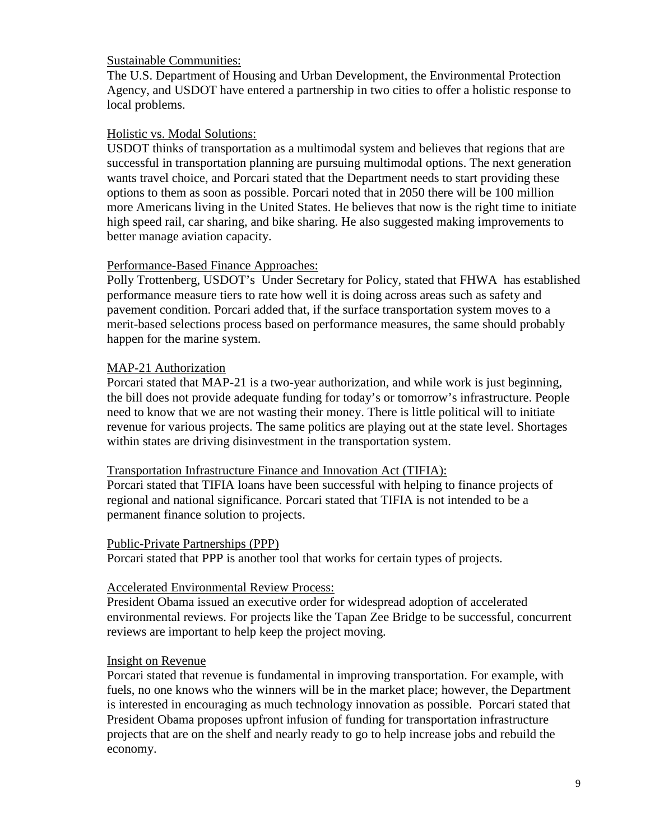#### Sustainable Communities:

The U.S. Department of Housing and Urban Development, the Environmental Protection Agency, and USDOT have entered a partnership in two cities to offer a holistic response to local problems.

#### Holistic vs. Modal Solutions:

USDOT thinks of transportation as a multimodal system and believes that regions that are successful in transportation planning are pursuing multimodal options. The next generation wants travel choice, and Porcari stated that the Department needs to start providing these options to them as soon as possible. Porcari noted that in 2050 there will be 100 million more Americans living in the United States. He believes that now is the right time to initiate high speed rail, car sharing, and bike sharing. He also suggested making improvements to better manage aviation capacity.

#### Performance-Based Finance Approaches:

Polly Trottenberg, USDOT's Under Secretary for Policy, stated that FHWA has established performance measure tiers to rate how well it is doing across areas such as safety and pavement condition. Porcari added that, if the surface transportation system moves to a merit-based selections process based on performance measures, the same should probably happen for the marine system.

## MAP-21 Authorization

Porcari stated that MAP-21 is a two-year authorization, and while work is just beginning, the bill does not provide adequate funding for today's or tomorrow's infrastructure. People need to know that we are not wasting their money. There is little political will to initiate revenue for various projects. The same politics are playing out at the state level. Shortages within states are driving disinvestment in the transportation system.

#### Transportation Infrastructure Finance and Innovation Act (TIFIA):

Porcari stated that TIFIA loans have been successful with helping to finance projects of regional and national significance. Porcari stated that TIFIA is not intended to be a permanent finance solution to projects.

#### Public-Private Partnerships (PPP)

Porcari stated that PPP is another tool that works for certain types of projects.

#### Accelerated Environmental Review Process:

President Obama issued an executive order for widespread adoption of accelerated environmental reviews. For projects like the Tapan Zee Bridge to be successful, concurrent reviews are important to help keep the project moving.

#### Insight on Revenue

Porcari stated that revenue is fundamental in improving transportation. For example, with fuels, no one knows who the winners will be in the market place; however, the Department is interested in encouraging as much technology innovation as possible. Porcari stated that President Obama proposes upfront infusion of funding for transportation infrastructure projects that are on the shelf and nearly ready to go to help increase jobs and rebuild the economy.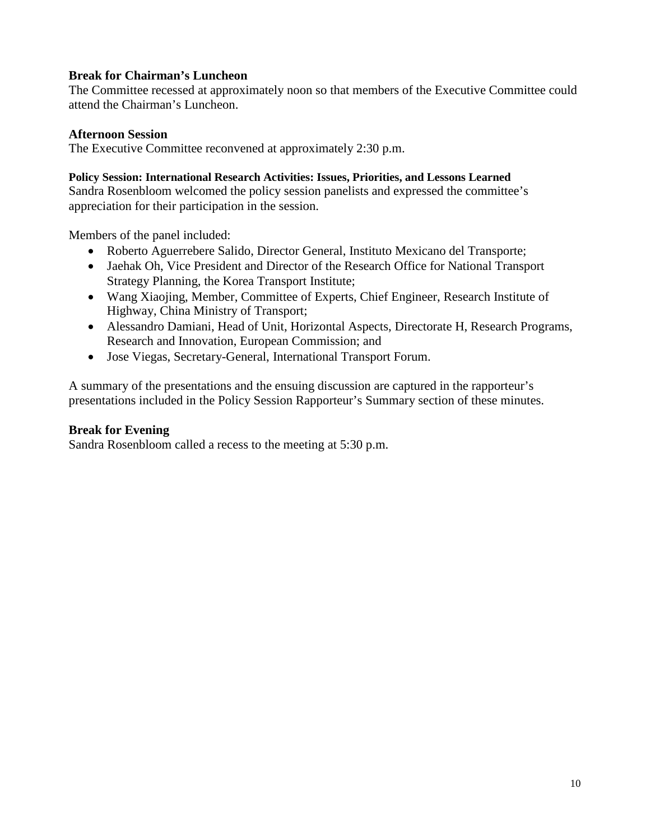# <span id="page-9-0"></span>**Break for Chairman's Luncheon**

The Committee recessed at approximately noon so that members of the Executive Committee could attend the Chairman's Luncheon.

#### <span id="page-9-1"></span>**Afternoon Session**

The Executive Committee reconvened at approximately 2:30 p.m.

#### <span id="page-9-2"></span>**Policy Session: International Research Activities: Issues, Priorities, and Lessons Learned**

Sandra Rosenbloom welcomed the policy session panelists and expressed the committee's appreciation for their participation in the session.

Members of the panel included:

- Roberto Aguerrebere Salido, Director General, Instituto Mexicano del Transporte;
- Jaehak Oh, Vice President and Director of the Research Office for National Transport Strategy Planning, the Korea Transport Institute;
- Wang Xiaojing, Member, Committee of Experts, Chief Engineer, Research Institute of Highway, China Ministry of Transport;
- Alessandro Damiani, Head of Unit, Horizontal Aspects, Directorate H, Research Programs, Research and Innovation, European Commission; and
- Jose Viegas, Secretary-General, International Transport Forum.

A summary of the presentations and the ensuing discussion are captured in the rapporteur's presentations included in the Policy Session Rapporteur's Summary section of these minutes.

#### <span id="page-9-3"></span>**Break for Evening**

Sandra Rosenbloom called a recess to the meeting at 5:30 p.m.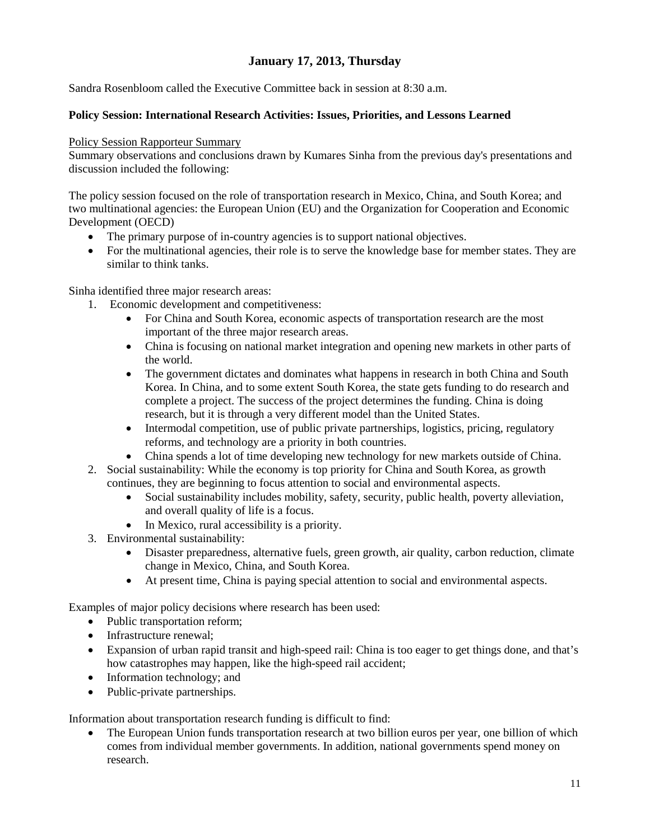# **January 17, 2013, Thursday**

<span id="page-10-0"></span>Sandra Rosenbloom called the Executive Committee back in session at 8:30 a.m.

#### <span id="page-10-1"></span>**Policy Session: International Research Activities: Issues, Priorities, and Lessons Learned**

#### <span id="page-10-2"></span>Policy Session Rapporteur Summary

Summary observations and conclusions drawn by Kumares Sinha from the previous day's presentations and discussion included the following:

The policy session focused on the role of transportation research in Mexico, China, and South Korea; and two multinational agencies: the European Union (EU) and the Organization for Cooperation and Economic Development (OECD)

- The primary purpose of in-country agencies is to support national objectives.
- For the multinational agencies, their role is to serve the knowledge base for member states. They are similar to think tanks.

Sinha identified three major research areas:

- 1. Economic development and competitiveness:
	- For China and South Korea, economic aspects of transportation research are the most important of the three major research areas.
	- China is focusing on national market integration and opening new markets in other parts of the world.
	- The government dictates and dominates what happens in research in both China and South Korea. In China, and to some extent South Korea, the state gets funding to do research and complete a project. The success of the project determines the funding. China is doing research, but it is through a very different model than the United States.
	- Intermodal competition, use of public private partnerships, logistics, pricing, regulatory reforms, and technology are a priority in both countries.
	- China spends a lot of time developing new technology for new markets outside of China.
- 2. Social sustainability: While the economy is top priority for China and South Korea, as growth continues, they are beginning to focus attention to social and environmental aspects.
	- Social sustainability includes mobility, safety, security, public health, poverty alleviation, and overall quality of life is a focus.
	- In Mexico, rural accessibility is a priority.
- 3. Environmental sustainability:
	- Disaster preparedness, alternative fuels, green growth, air quality, carbon reduction, climate change in Mexico, China, and South Korea.
	- At present time, China is paying special attention to social and environmental aspects.

Examples of major policy decisions where research has been used:

- Public transportation reform:
- Infrastructure renewal:
- Expansion of urban rapid transit and high-speed rail: China is too eager to get things done, and that's how catastrophes may happen, like the high-speed rail accident;
- Information technology; and
- Public-private partnerships.

Information about transportation research funding is difficult to find:

• The European Union funds transportation research at two billion euros per year, one billion of which comes from individual member governments. In addition, national governments spend money on research.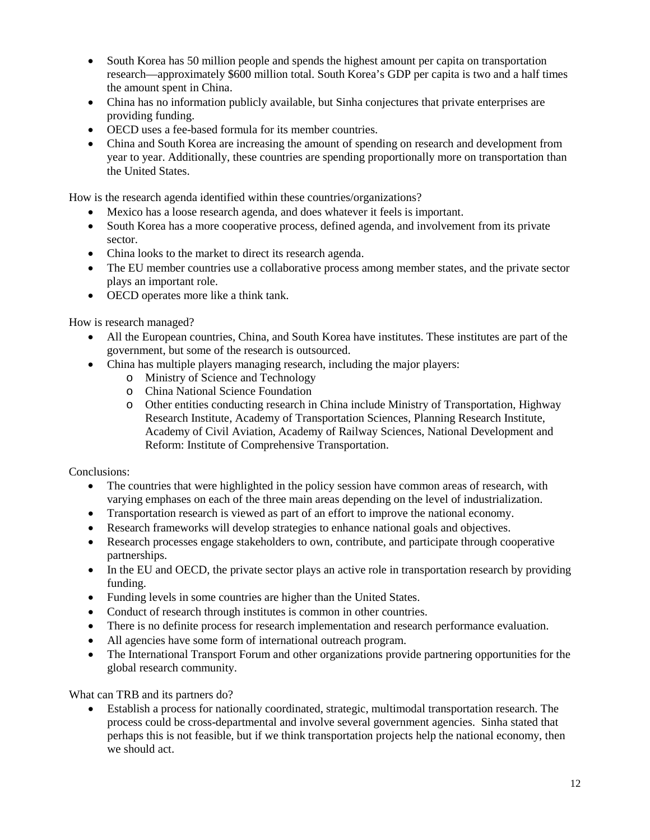- South Korea has 50 million people and spends the highest amount per capita on transportation research—approximately \$600 million total. South Korea's GDP per capita is two and a half times the amount spent in China.
- China has no information publicly available, but Sinha conjectures that private enterprises are providing funding.
- OECD uses a fee-based formula for its member countries.
- China and South Korea are increasing the amount of spending on research and development from year to year. Additionally, these countries are spending proportionally more on transportation than the United States.

How is the research agenda identified within these countries/organizations?

- Mexico has a loose research agenda, and does whatever it feels is important.
- South Korea has a more cooperative process, defined agenda, and involvement from its private sector.
- China looks to the market to direct its research agenda.
- The EU member countries use a collaborative process among member states, and the private sector plays an important role.
- OECD operates more like a think tank.

How is research managed?

- All the European countries, China, and South Korea have institutes. These institutes are part of the government, but some of the research is outsourced.
- China has multiple players managing research, including the major players:
	- o Ministry of Science and Technology
	- o China National Science Foundation
	- o Other entities conducting research in China include Ministry of Transportation, Highway Research Institute, Academy of Transportation Sciences, Planning Research Institute, Academy of Civil Aviation, Academy of Railway Sciences, National Development and Reform: Institute of Comprehensive Transportation.

Conclusions:

- The countries that were highlighted in the policy session have common areas of research, with varying emphases on each of the three main areas depending on the level of industrialization.
- Transportation research is viewed as part of an effort to improve the national economy.
- Research frameworks will develop strategies to enhance national goals and objectives.
- Research processes engage stakeholders to own, contribute, and participate through cooperative partnerships.
- In the EU and OECD, the private sector plays an active role in transportation research by providing funding.
- Funding levels in some countries are higher than the United States.
- Conduct of research through institutes is common in other countries.
- There is no definite process for research implementation and research performance evaluation.
- All agencies have some form of international outreach program.
- The International Transport Forum and other organizations provide partnering opportunities for the global research community.

What can TRB and its partners do?

• Establish a process for nationally coordinated, strategic, multimodal transportation research. The process could be cross-departmental and involve several government agencies. Sinha stated that perhaps this is not feasible, but if we think transportation projects help the national economy, then we should act.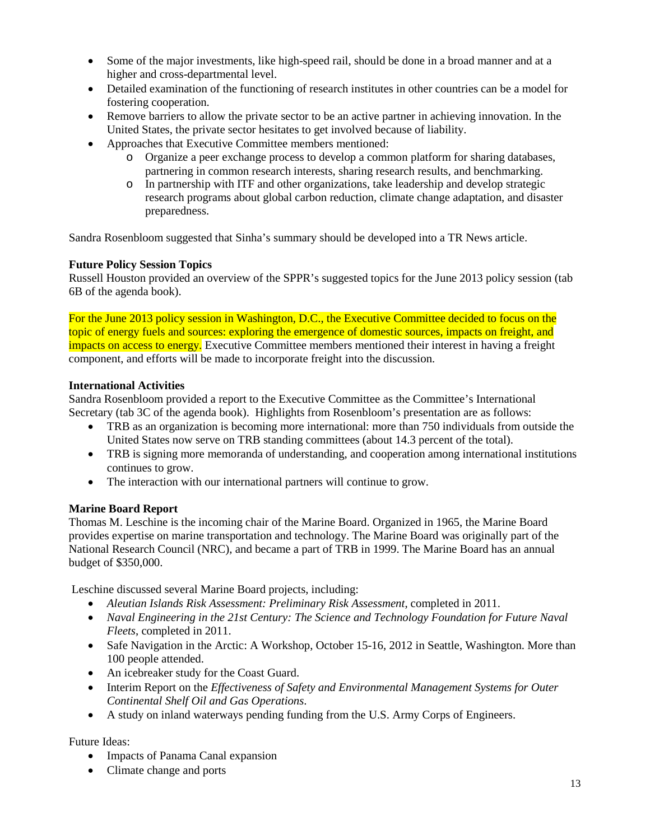- Some of the major investments, like high-speed rail, should be done in a broad manner and at a higher and cross-departmental level.
- Detailed examination of the functioning of research institutes in other countries can be a model for fostering cooperation.
- Remove barriers to allow the private sector to be an active partner in achieving innovation. In the United States, the private sector hesitates to get involved because of liability.
- Approaches that Executive Committee members mentioned:
	- o Organize a peer exchange process to develop a common platform for sharing databases, partnering in common research interests, sharing research results, and benchmarking.
	- o In partnership with ITF and other organizations, take leadership and develop strategic research programs about global carbon reduction, climate change adaptation, and disaster preparedness.

Sandra Rosenbloom suggested that Sinha's summary should be developed into a TR News article.

#### <span id="page-12-0"></span>**Future Policy Session Topics**

Russell Houston provided an overview of the SPPR's suggested topics for the June 2013 policy session (tab 6B of the agenda book).

For the June 2013 policy session in Washington, D.C., the Executive Committee decided to focus on the topic of energy fuels and sources: exploring the emergence of domestic sources, impacts on freight, and impacts on access to energy. Executive Committee members mentioned their interest in having a freight component, and efforts will be made to incorporate freight into the discussion.

#### <span id="page-12-1"></span>**International Activities**

Sandra Rosenbloom provided a report to the Executive Committee as the Committee's International Secretary (tab 3C of the agenda book). Highlights from Rosenbloom's presentation are as follows:

- TRB as an organization is becoming more international: more than 750 individuals from outside the United States now serve on TRB standing committees (about 14.3 percent of the total).
- TRB is signing more memoranda of understanding, and cooperation among international institutions continues to grow.
- The interaction with our international partners will continue to grow.

#### <span id="page-12-2"></span>**Marine Board Report**

Thomas M. Leschine is the incoming chair of the Marine Board. Organized in 1965, the Marine Board provides expertise on marine transportation and technology. The Marine Board was originally part of the National Research Council (NRC), and became a part of TRB in 1999. The Marine Board has an annual budget of \$350,000.

Leschine discussed several Marine Board projects, including:

- *Aleutian Islands Risk Assessment: Preliminary Risk Assessment*, completed in 2011.
- *Naval Engineering in the 21st Century: The Science and Technology Foundation for Future Naval Fleets*, completed in 2011.
- Safe Navigation in the Arctic: A Workshop, October 15-16, 2012 in Seattle, Washington. More than 100 people attended.
- An icebreaker study for the Coast Guard.
- Interim Report on the *Effectiveness of Safety and Environmental Management Systems for Outer Continental Shelf Oil and Gas Operations*.
- A study on inland waterways pending funding from the U.S. Army Corps of Engineers.

Future Ideas:

- Impacts of Panama Canal expansion
- Climate change and ports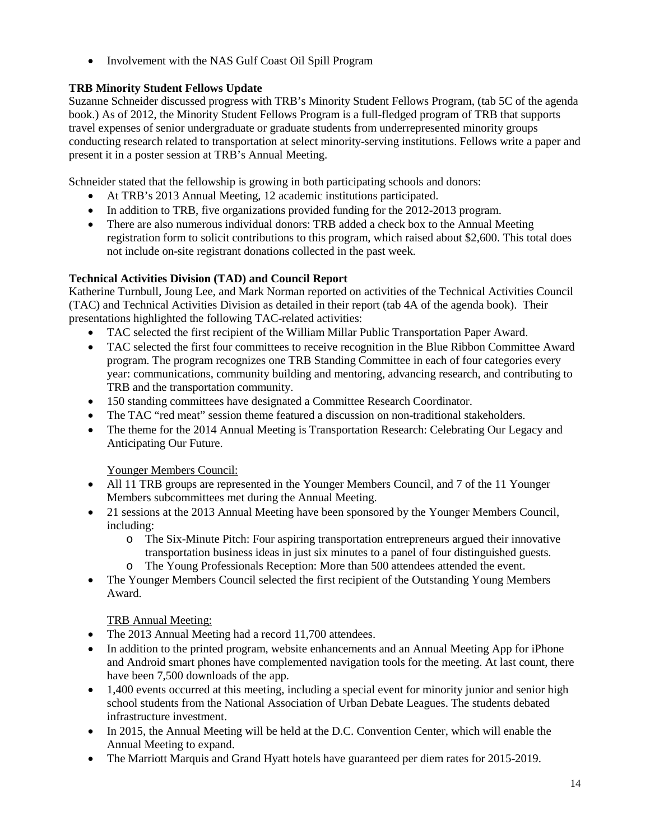• Involvement with the NAS Gulf Coast Oil Spill Program

# <span id="page-13-0"></span>**TRB Minority Student Fellows Update**

Suzanne Schneider discussed progress with TRB's Minority Student Fellows Program, (tab 5C of the agenda book.) As of 2012, the Minority Student Fellows Program is a full-fledged program of TRB that supports travel expenses of senior undergraduate or graduate students from underrepresented minority groups conducting research related to transportation at select minority-serving institutions. Fellows write a paper and present it in a poster session at TRB's Annual Meeting.

Schneider stated that the fellowship is growing in both participating schools and donors:

- At TRB's 2013 Annual Meeting, 12 academic institutions participated.
- In addition to TRB, five organizations provided funding for the 2012-2013 program.
- There are also numerous individual donors: TRB added a check box to the Annual Meeting registration form to solicit contributions to this program, which raised about \$2,600. This total does not include on-site registrant donations collected in the past week.

#### <span id="page-13-1"></span>**Technical Activities Division (TAD) and Council Report**

Katherine Turnbull, Joung Lee, and Mark Norman reported on activities of the Technical Activities Council (TAC) and Technical Activities Division as detailed in their report (tab 4A of the agenda book). Their presentations highlighted the following TAC-related activities:

- TAC selected the first recipient of the William Millar Public Transportation Paper Award.
- TAC selected the first four committees to receive recognition in the Blue Ribbon Committee Award program. The program recognizes one TRB Standing Committee in each of four categories every year: communications, community building and mentoring, advancing research, and contributing to TRB and the transportation community.
- 150 standing committees have designated a Committee Research Coordinator.
- The TAC "red meat" session theme featured a discussion on non-traditional stakeholders.
- The theme for the 2014 Annual Meeting is Transportation Research: Celebrating Our Legacy and Anticipating Our Future.

Younger Members Council:

- <span id="page-13-2"></span>• All 11 TRB groups are represented in the Younger Members Council, and 7 of the 11 Younger Members subcommittees met during the Annual Meeting.
- 21 sessions at the 2013 Annual Meeting have been sponsored by the Younger Members Council, including:
	- o The Six-Minute Pitch: Four aspiring transportation entrepreneurs argued their innovative transportation business ideas in just six minutes to a panel of four distinguished guests.
	- o The Young Professionals Reception: More than 500 attendees attended the event.
- The Younger Members Council selected the first recipient of the Outstanding Young Members Award.

TRB Annual Meeting:

- <span id="page-13-3"></span>• The 2013 Annual Meeting had a record 11,700 attendees.
- In addition to the printed program, website enhancements and an Annual Meeting App for iPhone and Android smart phones have complemented navigation tools for the meeting. At last count, there have been 7,500 downloads of the app.
- 1,400 events occurred at this meeting, including a special event for minority junior and senior high school students from the National Association of Urban Debate Leagues. The students debated infrastructure investment.
- In 2015, the Annual Meeting will be held at the D.C. Convention Center, which will enable the Annual Meeting to expand.
- The Marriott Marquis and Grand Hyatt hotels have guaranteed per diem rates for 2015-2019.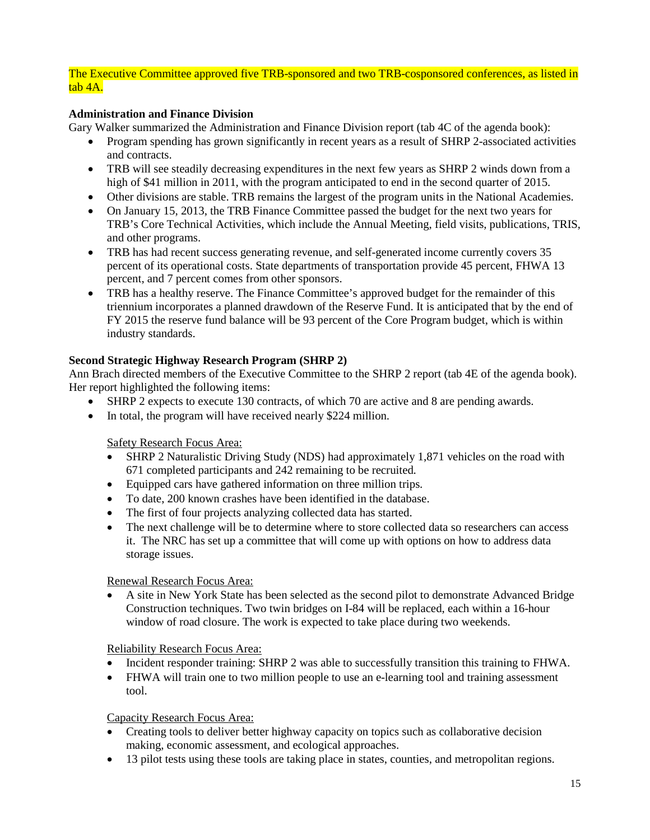#### The Executive Committee approved five TRB-sponsored and two TRB-cosponsored conferences, as listed in tab 4A.

## <span id="page-14-0"></span>**Administration and Finance Division**

Gary Walker summarized the Administration and Finance Division report (tab 4C of the agenda book):

- Program spending has grown significantly in recent years as a result of SHRP 2-associated activities and contracts.
- TRB will see steadily decreasing expenditures in the next few years as SHRP 2 winds down from a high of \$41 million in 2011, with the program anticipated to end in the second quarter of 2015.
- Other divisions are stable. TRB remains the largest of the program units in the National Academies.
- On January 15, 2013, the TRB Finance Committee passed the budget for the next two years for TRB's Core Technical Activities, which include the Annual Meeting, field visits, publications, TRIS, and other programs.
- TRB has had recent success generating revenue, and self-generated income currently covers 35 percent of its operational costs. State departments of transportation provide 45 percent, FHWA 13 percent, and 7 percent comes from other sponsors.
- TRB has a healthy reserve. The Finance Committee's approved budget for the remainder of this triennium incorporates a planned drawdown of the Reserve Fund. It is anticipated that by the end of FY 2015 the reserve fund balance will be 93 percent of the Core Program budget, which is within industry standards.

#### <span id="page-14-1"></span>**Second Strategic Highway Research Program (SHRP 2)**

Ann Brach directed members of the Executive Committee to the SHRP 2 report (tab 4E of the agenda book). Her report highlighted the following items:

- SHRP 2 expects to execute 130 contracts, of which 70 are active and 8 are pending awards.
- <span id="page-14-2"></span>• In total, the program will have received nearly \$224 million.

Safety Research Focus Area:

- SHRP 2 Naturalistic Driving Study (NDS) had approximately 1,871 vehicles on the road with 671 completed participants and 242 remaining to be recruited.
- Equipped cars have gathered information on three million trips.
- To date, 200 known crashes have been identified in the database.
- The first of four projects analyzing collected data has started.
- The next challenge will be to determine where to store collected data so researchers can access it. The NRC has set up a committee that will come up with options on how to address data storage issues.

#### <span id="page-14-3"></span>Renewal Research Focus Area:

• A site in New York State has been selected as the second pilot to demonstrate Advanced Bridge Construction techniques. Two twin bridges on I-84 will be replaced, each within a 16-hour window of road closure. The work is expected to take place during two weekends.

<span id="page-14-4"></span>Reliability Research Focus Area:

- Incident responder training: SHRP 2 was able to successfully transition this training to FHWA.
- FHWA will train one to two million people to use an e-learning tool and training assessment tool.

#### <span id="page-14-5"></span>Capacity Research Focus Area:

- Creating tools to deliver better highway capacity on topics such as collaborative decision making, economic assessment, and ecological approaches.
- 13 pilot tests using these tools are taking place in states, counties, and metropolitan regions.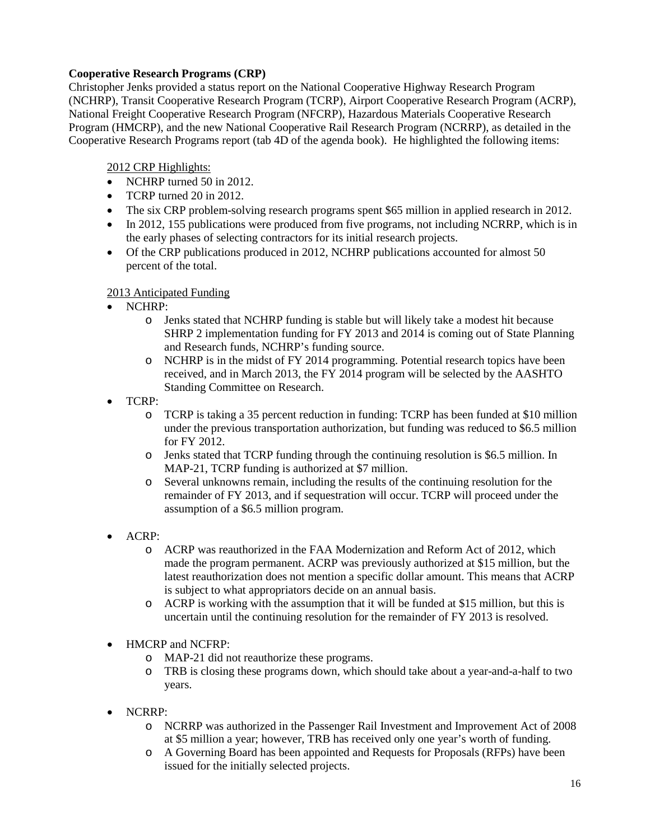#### <span id="page-15-0"></span>**Cooperative Research Programs (CRP)**

Christopher Jenks provided a status report on the National Cooperative Highway Research Program (NCHRP), Transit Cooperative Research Program (TCRP), Airport Cooperative Research Program (ACRP), National Freight Cooperative Research Program (NFCRP), Hazardous Materials Cooperative Research Program (HMCRP), and the new National Cooperative Rail Research Program (NCRRP), as detailed in the Cooperative Research Programs report (tab 4D of the agenda book). He highlighted the following items:

## <span id="page-15-1"></span>2012 CRP Highlights:

- NCHRP turned 50 in 2012.
- TCRP turned 20 in 2012.
- The six CRP problem-solving research programs spent \$65 million in applied research in 2012.
- In 2012, 155 publications were produced from five programs, not including NCRRP, which is in the early phases of selecting contractors for its initial research projects.
- Of the CRP publications produced in 2012, NCHRP publications accounted for almost 50 percent of the total.

#### <span id="page-15-2"></span>2013 Anticipated Funding

- NCHRP:
	- o Jenks stated that NCHRP funding is stable but will likely take a modest hit because SHRP 2 implementation funding for FY 2013 and 2014 is coming out of State Planning and Research funds, NCHRP's funding source.
	- o NCHRP is in the midst of FY 2014 programming. Potential research topics have been received, and in March 2013, the FY 2014 program will be selected by the AASHTO Standing Committee on Research.
- TCRP:
	- o TCRP is taking a 35 percent reduction in funding: TCRP has been funded at \$10 million under the previous transportation authorization, but funding was reduced to \$6.5 million for FY 2012.
	- o Jenks stated that TCRP funding through the continuing resolution is \$6.5 million. In MAP-21, TCRP funding is authorized at \$7 million.
	- o Several unknowns remain, including the results of the continuing resolution for the remainder of FY 2013, and if sequestration will occur. TCRP will proceed under the assumption of a \$6.5 million program.
- ACRP:
	- o ACRP was reauthorized in the FAA Modernization and Reform Act of 2012, which made the program permanent. ACRP was previously authorized at \$15 million, but the latest reauthorization does not mention a specific dollar amount. This means that ACRP is subject to what appropriators decide on an annual basis.
	- o ACRP is working with the assumption that it will be funded at \$15 million, but this is uncertain until the continuing resolution for the remainder of FY 2013 is resolved.
- HMCRP and NCFRP:
	- o MAP-21 did not reauthorize these programs.
	- o TRB is closing these programs down, which should take about a year-and-a-half to two years.
- NCRRP:
	- o NCRRP was authorized in the Passenger Rail Investment and Improvement Act of 2008 at \$5 million a year; however, TRB has received only one year's worth of funding.
	- o A Governing Board has been appointed and Requests for Proposals (RFPs) have been issued for the initially selected projects.